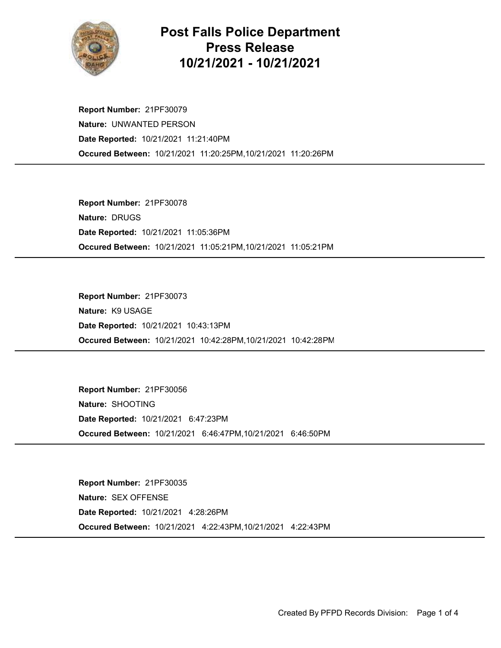

## Post Falls Police Department Press Release 10/21/2021 - 10/21/2021

Occured Between: 10/21/2021 11:20:25PM,10/21/2021 11:20:26PM Report Number: 21PF30079 Nature: UNWANTED PERSON Date Reported: 10/21/2021 11:21:40PM

Occured Between: 10/21/2021 11:05:21PM,10/21/2021 11:05:21PM Report Number: 21PF30078 Nature: DRUGS Date Reported: 10/21/2021 11:05:36PM

Occured Between: 10/21/2021 10:42:28PM,10/21/2021 10:42:28PM Report Number: 21PF30073 Nature: K9 USAGE Date Reported: 10/21/2021 10:43:13PM

Occured Between: 10/21/2021 6:46:47PM,10/21/2021 6:46:50PM Report Number: 21PF30056 Nature: SHOOTING Date Reported: 10/21/2021 6:47:23PM

Occured Between: 10/21/2021 4:22:43PM,10/21/2021 4:22:43PM Report Number: 21PF30035 Nature: SEX OFFENSE Date Reported: 10/21/2021 4:28:26PM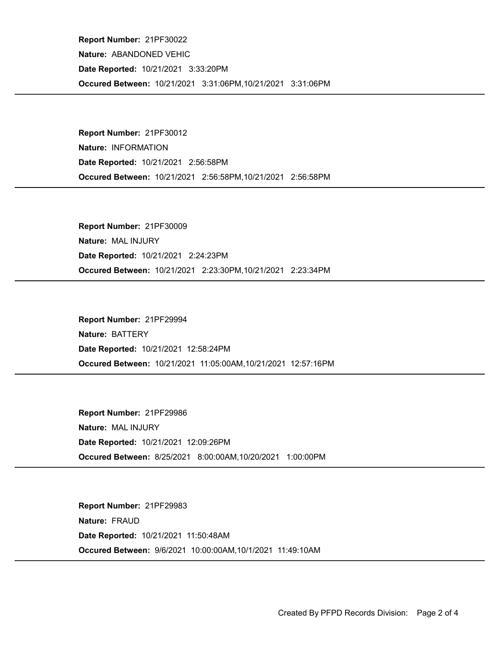Occured Between: 10/21/2021 3:31:06PM,10/21/2021 3:31:06PM Report Number: 21PF30022 Nature: ABANDONED VEHIC Date Reported: 10/21/2021 3:33:20PM

Occured Between: 10/21/2021 2:56:58PM,10/21/2021 2:56:58PM Report Number: 21PF30012 Nature: INFORMATION Date Reported: 10/21/2021 2:56:58PM

Occured Between: 10/21/2021 2:23:30PM,10/21/2021 2:23:34PM Report Number: 21PF30009 Nature: MAL INJURY Date Reported: 10/21/2021 2:24:23PM

Occured Between: 10/21/2021 11:05:00AM,10/21/2021 12:57:16PM Report Number: 21PF29994 Nature: BATTERY Date Reported: 10/21/2021 12:58:24PM

Occured Between: 8/25/2021 8:00:00AM,10/20/2021 1:00:00PM Report Number: 21PF29986 Nature: MAL INJURY Date Reported: 10/21/2021 12:09:26PM

Occured Between: 9/6/2021 10:00:00AM,10/1/2021 11:49:10AM Report Number: 21PF29983 Nature: FRAUD Date Reported: 10/21/2021 11:50:48AM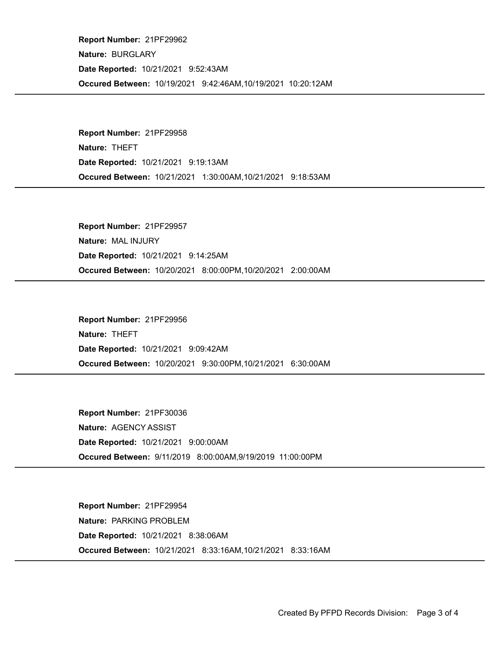Occured Between: 10/19/2021 9:42:46AM,10/19/2021 10:20:12AM Report Number: 21PF29962 Nature: BURGLARY Date Reported: 10/21/2021 9:52:43AM

Occured Between: 10/21/2021 1:30:00AM,10/21/2021 9:18:53AM Report Number: 21PF29958 Nature: THEFT Date Reported: 10/21/2021 9:19:13AM

Occured Between: 10/20/2021 8:00:00PM,10/20/2021 2:00:00AM Report Number: 21PF29957 Nature: MAL INJURY Date Reported: 10/21/2021 9:14:25AM

Occured Between: 10/20/2021 9:30:00PM,10/21/2021 6:30:00AM Report Number: 21PF29956 Nature: THEFT Date Reported: 10/21/2021 9:09:42AM

Occured Between: 9/11/2019 8:00:00AM,9/19/2019 11:00:00PM Report Number: 21PF30036 Nature: AGENCY ASSIST Date Reported: 10/21/2021 9:00:00AM

Occured Between: 10/21/2021 8:33:16AM,10/21/2021 8:33:16AM Report Number: 21PF29954 Nature: PARKING PROBLEM Date Reported: 10/21/2021 8:38:06AM